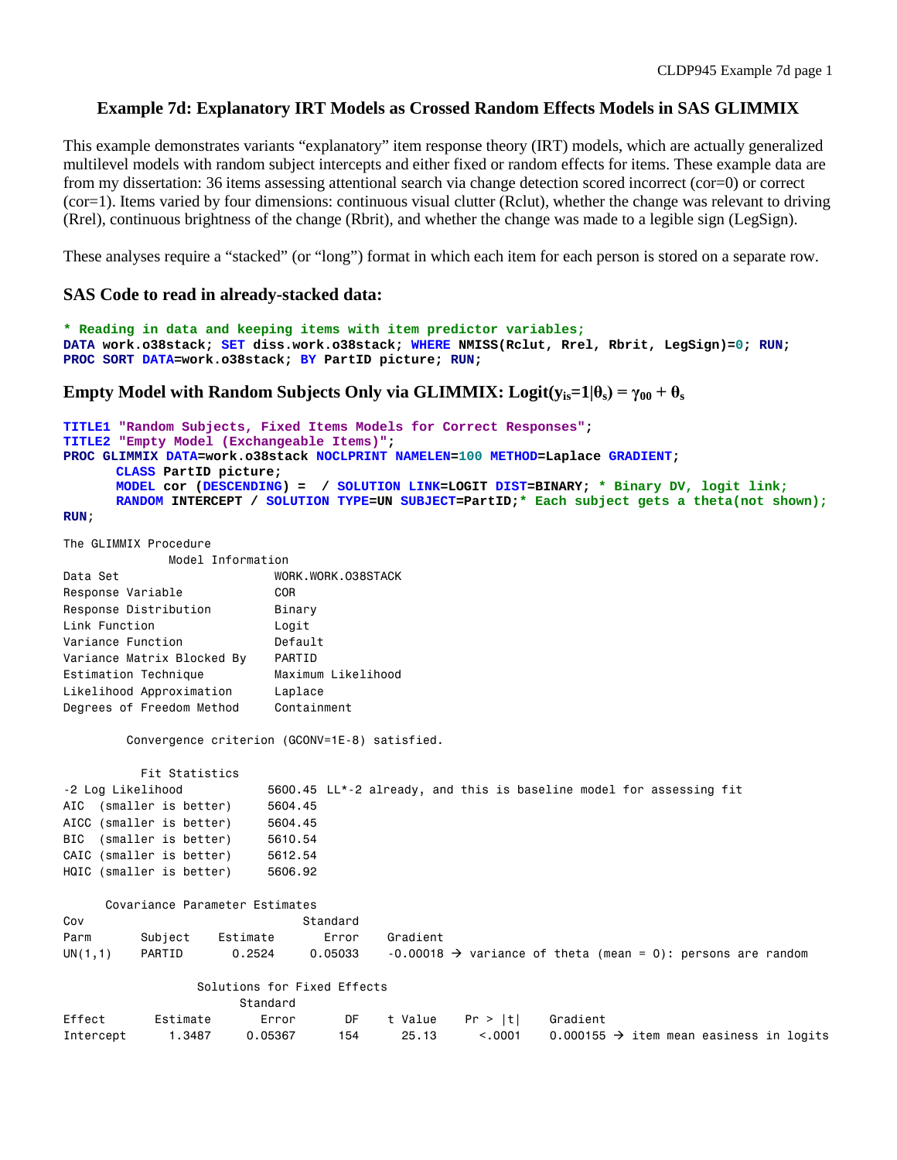# **Example 7d: Explanatory IRT Models as Crossed Random Effects Models in SAS GLIMMIX**

This example demonstrates variants "explanatory" item response theory (IRT) models, which are actually generalized multilevel models with random subject intercepts and either fixed or random effects for items. These example data are from my dissertation: 36 items assessing attentional search via change detection scored incorrect (cor=0) or correct (cor=1). Items varied by four dimensions: continuous visual clutter (Rclut), whether the change was relevant to driving (Rrel), continuous brightness of the change (Rbrit), and whether the change was made to a legible sign (LegSign).

These analyses require a "stacked" (or "long") format in which each item for each person is stored on a separate row.

#### **SAS Code to read in already-stacked data:**

```
* Reading in data and keeping items with item predictor variables;
DATA work.o38stack; SET diss.work.o38stack; WHERE NMISS(Rclut, Rrel, Rbrit, LegSign)=0; RUN;
PROC SORT DATA=work.o38stack; BY PartID picture; RUN;
```

```
Empty Model with Random Subjects Only via GLIMMIX: Logit(y_{is}=1|\theta_s| = \gamma_{00} + \theta_s
```

```
TITLE1 "Random Subjects, Fixed Items Models for Correct Responses";
TITLE2 "Empty Model (Exchangeable Items)";
PROC GLIMMIX DATA=work.o38stack NOCLPRINT NAMELEN=100 METHOD=Laplace GRADIENT; 
      CLASS PartID picture;
      MODEL cor (DESCENDING) = / SOLUTION LINK=LOGIT DIST=BINARY; * Binary DV, logit link;
      RANDOM INTERCEPT / SOLUTION TYPE=UN SUBJECT=PartID;* Each subject gets a theta(not shown);
RUN;
The GLIMMIX Procedure
```

|  | THE GLIMMIA PROCEDURE |                   |
|--|-----------------------|-------------------|
|  |                       | Model Information |

| Data Set                   | WORK.WORK.038STACK |
|----------------------------|--------------------|
| Response Variable          | COR.               |
| Response Distribution      | Binary             |
| Link Function              | Logit              |
| Variance Function          | Default            |
| Variance Matrix Blocked By | PARTID             |
| Estimation Technique       | Maximum Likelihood |
| Likelihood Approximation   | Laplace            |
| Degrees of Freedom Method  | Containment        |

Convergence criterion (GCONV=1E-8) satisfied.

| Fit Statistics           |                                                                     |
|--------------------------|---------------------------------------------------------------------|
| -2 Log Likelihood        | 5600.45 LL*-2 already, and this is baseline model for assessing fit |
| AIC (smaller is better)  | 5604.45                                                             |
| AICC (smaller is better) | 5604.45                                                             |
| BIC (smaller is better)  | 5610.54                                                             |
| CAIC (smaller is better) | 5612.54                                                             |
| HQIC (smaller is better) | 5606.92                                                             |

|         | Covariance Parameter Estimates |          |          |                                                                           |  |  |  |  |
|---------|--------------------------------|----------|----------|---------------------------------------------------------------------------|--|--|--|--|
| Cov     |                                |          | Standard |                                                                           |  |  |  |  |
| Parm    | Subiect                        | Estimate | Error    | Gradient                                                                  |  |  |  |  |
| UN(1,1) | PARTID                         | 0.2524   | 0.05033  | $-0.00018$ $\rightarrow$ variance of theta (mean = 0): persons are random |  |  |  |  |

#### Solutions for Fixed Effects

|           |          | Standard |     |       |                              |                                                     |  |
|-----------|----------|----------|-----|-------|------------------------------|-----------------------------------------------------|--|
| Effect    | Estimate | Error    |     |       | DF t Value Pr >  t  Gradient |                                                     |  |
| Intercept | 1.3487   | 0.05367  | 154 | 25.13 | < 0.001                      | 0.000155 $\rightarrow$ item mean easiness in logits |  |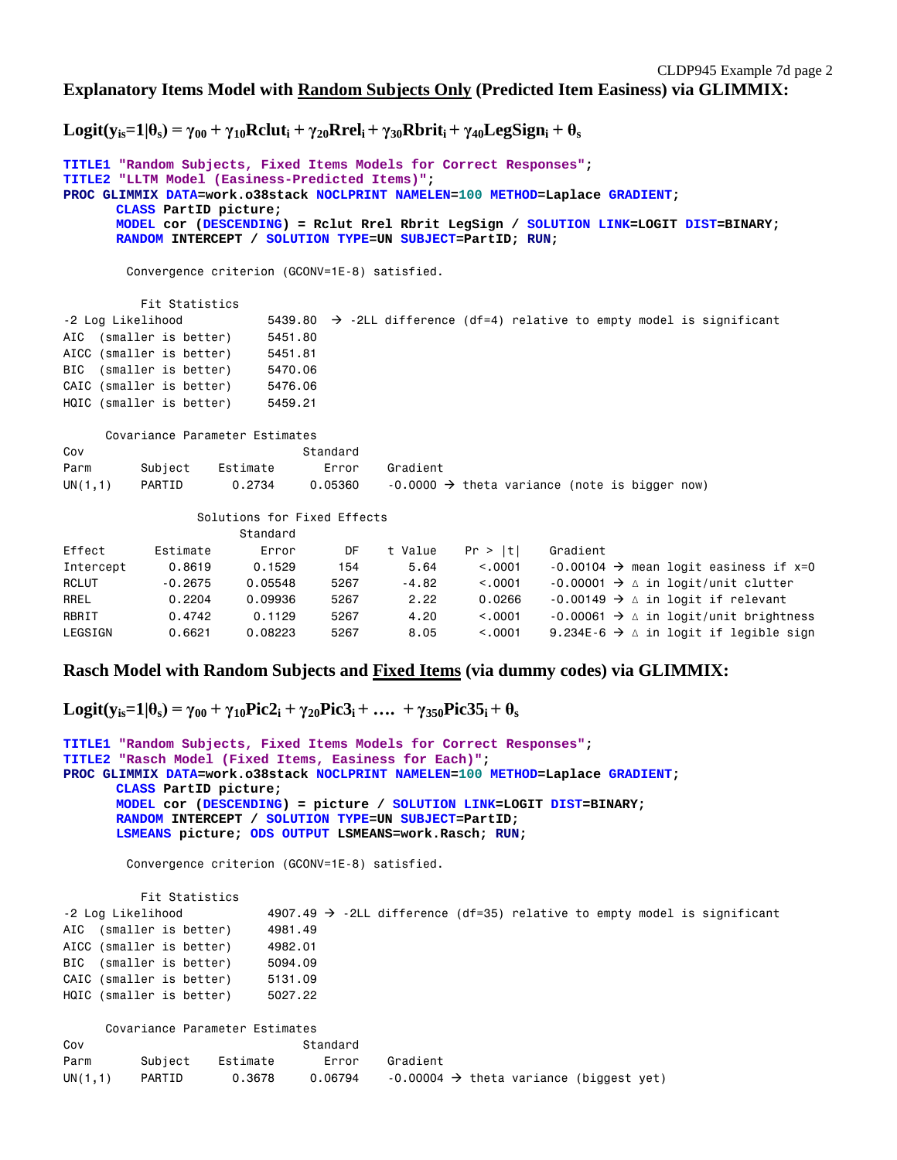$\text{Logit}(y_{is}=1|\theta_s) = \gamma_{00} + \gamma_{10}$ Rclut<sub>i</sub> +  $\gamma_{20}$ Rrel<sub>i</sub> +  $\gamma_{30}$ Rbrit<sub>i</sub> +  $\gamma_{40}$ LegSign<sub>i</sub> +  $\theta_s$ 

```
TITLE1 "Random Subjects, Fixed Items Models for Correct Responses";
TITLE2 "LLTM Model (Easiness-Predicted Items)";
PROC GLIMMIX DATA=work.o38stack NOCLPRINT NAMELEN=100 METHOD=Laplace GRADIENT; 
      CLASS PartID picture;
      MODEL cor (DESCENDING) = Rclut Rrel Rbrit LegSign / SOLUTION LINK=LOGIT DIST=BINARY; 
      RANDOM INTERCEPT / SOLUTION TYPE=UN SUBJECT=PartID; RUN;
        Convergence criterion (GCONV=1E-8) satisfied.
          Fit Statistics
-2 Log Likelihood 5439.80 \rightarrow -2LL difference (df=4) relative to empty model is significant
AIC (smaller is better) 5451.80
AICC (smaller is better) 5451.81
BIC (smaller is better) 5470.06
CAIC (smaller is better) 5476.06
HQIC (smaller is better) 5459.21
      Covariance Parameter Estimates
Cov Standard
Parm Subject Estimate Error Gradient
UN(1,1) PARTID 0.2734 0.05360 -0.0000 \rightarrow theta variance (note is bigger now)
                 Solutions for Fixed Effects
                      Standard
Effect Estimate Error DF t Value Pr > |t| Gradient
Intercept 0.8619 0.1529 154 5.64 < .0001 -0.00104 \rightarrow mean logit easiness if x=0
RCLUT -0.2675 0.05548 5267 -4.82 <.0001 -0.00001 \rightarrow \Delta in logit/unit clutter
RREL 0.2204 0.09936 5267 2.22 0.0266 -0.00149 \rightarrow \Delta in logit if relevant
RBRIT 0.4742 0.1129 5267 4.20 <.0001 -0.00061 \rightarrow \Delta in logit/unit brightness
LEGSIGN 0.6621 0.08223 5267 8.05 <.0001 9.234E-6 \rightarrow \Delta in logit if legible sign
```
## **Rasch Model with Random Subjects and Fixed Items (via dummy codes) via GLIMMIX:**

 $\text{Logit}(y_{is}=1|\theta_s) = \gamma_{00} + \gamma_{10}\text{Pic}2_i + \gamma_{20}\text{Pic}3_i + \dots + \gamma_{350}\text{Pic}35_i + \theta_s$ 

```
TITLE1 "Random Subjects, Fixed Items Models for Correct Responses";
TITLE2 "Rasch Model (Fixed Items, Easiness for Each)";
PROC GLIMMIX DATA=work.o38stack NOCLPRINT NAMELEN=100 METHOD=Laplace GRADIENT; 
      CLASS PartID picture;
      MODEL cor (DESCENDING) = picture / SOLUTION LINK=LOGIT DIST=BINARY; 
      RANDOM INTERCEPT / SOLUTION TYPE=UN SUBJECT=PartID;
      LSMEANS picture; ODS OUTPUT LSMEANS=work.Rasch; RUN;
```
Convergence criterion (GCONV=1E-8) satisfied.

 Fit Statistics -2 Log Likelihood 4907.49  $\rightarrow$  -2LL difference (df=35) relative to empty model is significant AIC (smaller is better) 4981.49 AICC (smaller is better) 4982.01 BIC (smaller is better) 5094.09 CAIC (smaller is better) 5131.09 HQIC (smaller is better) 5027.22

|         | Covariance Parameter Estimates |          |          |                                                     |
|---------|--------------------------------|----------|----------|-----------------------------------------------------|
| Cov     |                                |          | Standard |                                                     |
| Parm    | Subiect                        | Estimate | Error    | Gradient                                            |
| UN(1,1) | PARTID                         | 0.3678   | 0.06794  | $-0.00004 \rightarrow$ theta variance (biggest yet) |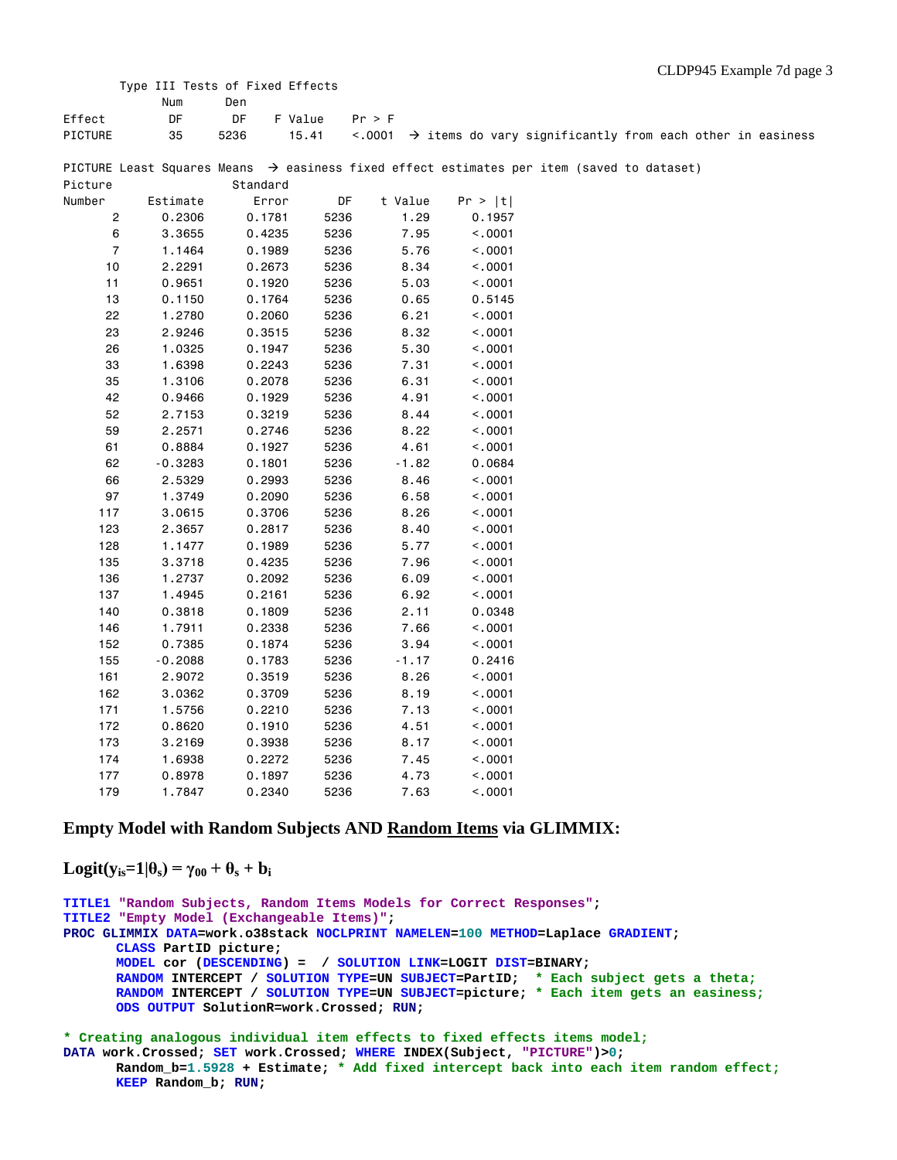|                | Type III Tests of Fixed Effects |          |         |         |         |                                                                                                       |  |  |
|----------------|---------------------------------|----------|---------|---------|---------|-------------------------------------------------------------------------------------------------------|--|--|
|                | Num                             | Den      |         |         |         |                                                                                                       |  |  |
| Effect         | DF                              | DF       | F Value | Pr > F  |         |                                                                                                       |  |  |
| PICTURE        | 35                              | 5236     | 15.41   |         |         | $\langle .0001$ $\rightarrow$ items do vary significantly from each other in easiness                 |  |  |
|                |                                 |          |         |         |         | PICTURE Least Squares Means $\rightarrow$ easiness fixed effect estimates per item (saved to dataset) |  |  |
| Picture        |                                 | Standard |         |         |         |                                                                                                       |  |  |
| Number         | Estimate                        | Error    | DF      | t Value | Pr >  t |                                                                                                       |  |  |
| 2              | 0.2306                          | 0.1781   | 5236    | 1.29    | 0.1957  |                                                                                                       |  |  |
| 6              | 3.3655                          | 0.4235   | 5236    | 7.95    | < .0001 |                                                                                                       |  |  |
| $\overline{7}$ | 1.1464                          | 0.1989   | 5236    | 5.76    | < .0001 |                                                                                                       |  |  |
| 10             | 2.2291                          | 0.2673   | 5236    | 8.34    | < .0001 |                                                                                                       |  |  |
| 11             | 0.9651                          | 0.1920   | 5236    | 5.03    | < .0001 |                                                                                                       |  |  |
| 13             | 0.1150                          | 0.1764   | 5236    | 0.65    | 0.5145  |                                                                                                       |  |  |
| 22             | 1.2780                          | 0.2060   | 5236    | 6.21    | < .0001 |                                                                                                       |  |  |
| 23             | 2.9246                          | 0.3515   | 5236    | 8.32    | < .0001 |                                                                                                       |  |  |
| 26             | 1.0325                          | 0.1947   | 5236    | 5.30    | < .0001 |                                                                                                       |  |  |
| 33             | 1.6398                          | 0.2243   | 5236    | 7.31    | < .0001 |                                                                                                       |  |  |
| 35             | 1.3106                          | 0.2078   | 5236    | 6.31    | < .0001 |                                                                                                       |  |  |
| 42             | 0.9466                          | 0.1929   | 5236    | 4.91    | < .0001 |                                                                                                       |  |  |
| 52             | 2.7153                          | 0.3219   | 5236    | 8.44    | < .0001 |                                                                                                       |  |  |
| 59             | 2.2571                          | 0.2746   | 5236    | 8.22    | < .0001 |                                                                                                       |  |  |
| 61             | 0.8884                          | 0.1927   | 5236    | 4.61    | < .0001 |                                                                                                       |  |  |
| 62             | $-0.3283$                       | 0.1801   | 5236    | $-1.82$ | 0.0684  |                                                                                                       |  |  |
| 66             | 2.5329                          | 0.2993   | 5236    | 8.46    | < .0001 |                                                                                                       |  |  |
| 97             | 1.3749                          | 0.2090   | 5236    | 6.58    | < .0001 |                                                                                                       |  |  |
| 117            | 3.0615                          | 0.3706   | 5236    | 8.26    | < .0001 |                                                                                                       |  |  |
| 123            | 2.3657                          | 0.2817   | 5236    | 8.40    | < .0001 |                                                                                                       |  |  |
| 128            | 1.1477                          | 0.1989   | 5236    | 5.77    | < .0001 |                                                                                                       |  |  |
| 135            | 3.3718                          | 0.4235   | 5236    | 7.96    | < .0001 |                                                                                                       |  |  |
| 136            | 1.2737                          | 0.2092   | 5236    | 6.09    | < .0001 |                                                                                                       |  |  |
| 137            | 1.4945                          | 0.2161   | 5236    | 6.92    | < .0001 |                                                                                                       |  |  |
| 140            | 0.3818                          | 0.1809   | 5236    | 2.11    | 0.0348  |                                                                                                       |  |  |
| 146            | 1.7911                          | 0.2338   | 5236    | 7.66    | < .0001 |                                                                                                       |  |  |
| 152            | 0.7385                          | 0.1874   | 5236    | 3.94    | < .0001 |                                                                                                       |  |  |
| 155            | $-0.2088$                       | 0.1783   | 5236    | -1.17   | 0.2416  |                                                                                                       |  |  |
| 161            | 2.9072                          | 0.3519   | 5236    | 8.26    | < .0001 |                                                                                                       |  |  |
| 162            | 3.0362                          | 0.3709   | 5236    | 8.19    | < .0001 |                                                                                                       |  |  |
| 171            | 1.5756                          | 0.2210   | 5236    | 7.13    | < .0001 |                                                                                                       |  |  |
| 172            | 0.8620                          | 0.1910   | 5236    | 4.51    | < .0001 |                                                                                                       |  |  |
| 173            | 3.2169                          | 0.3938   | 5236    | 8.17    | < .0001 |                                                                                                       |  |  |
| 174            | 1.6938                          | 0.2272   | 5236    | 7.45    | < .0001 |                                                                                                       |  |  |
|                |                                 |          |         |         |         |                                                                                                       |  |  |

### **Empty Model with Random Subjects AND Random Items via GLIMMIX:**

 177 0.8978 0.1897 5236 4.73 <.0001 179 1.7847 0.2340 5236 7.63 <.0001

 $\text{Logit}(y_{is}=1|\theta_s) = \gamma_{00} + \theta_s + b_i$ 

```
TITLE1 "Random Subjects, Random Items Models for Correct Responses";
TITLE2 "Empty Model (Exchangeable Items)";
PROC GLIMMIX DATA=work.o38stack NOCLPRINT NAMELEN=100 METHOD=Laplace GRADIENT; 
      CLASS PartID picture;
      MODEL cor (DESCENDING) = / SOLUTION LINK=LOGIT DIST=BINARY; 
      RANDOM INTERCEPT / SOLUTION TYPE=UN SUBJECT=PartID; * Each subject gets a theta;
      RANDOM INTERCEPT / SOLUTION TYPE=UN SUBJECT=picture; * Each item gets an easiness;
      ODS OUTPUT SolutionR=work.Crossed; RUN;
* Creating analogous individual item effects to fixed effects items model;
```
**DATA work.Crossed; SET work.Crossed; WHERE INDEX(Subject, "PICTURE")>0; Random\_b=1.5928 + Estimate; \* Add fixed intercept back into each item random effect; KEEP Random\_b; RUN;**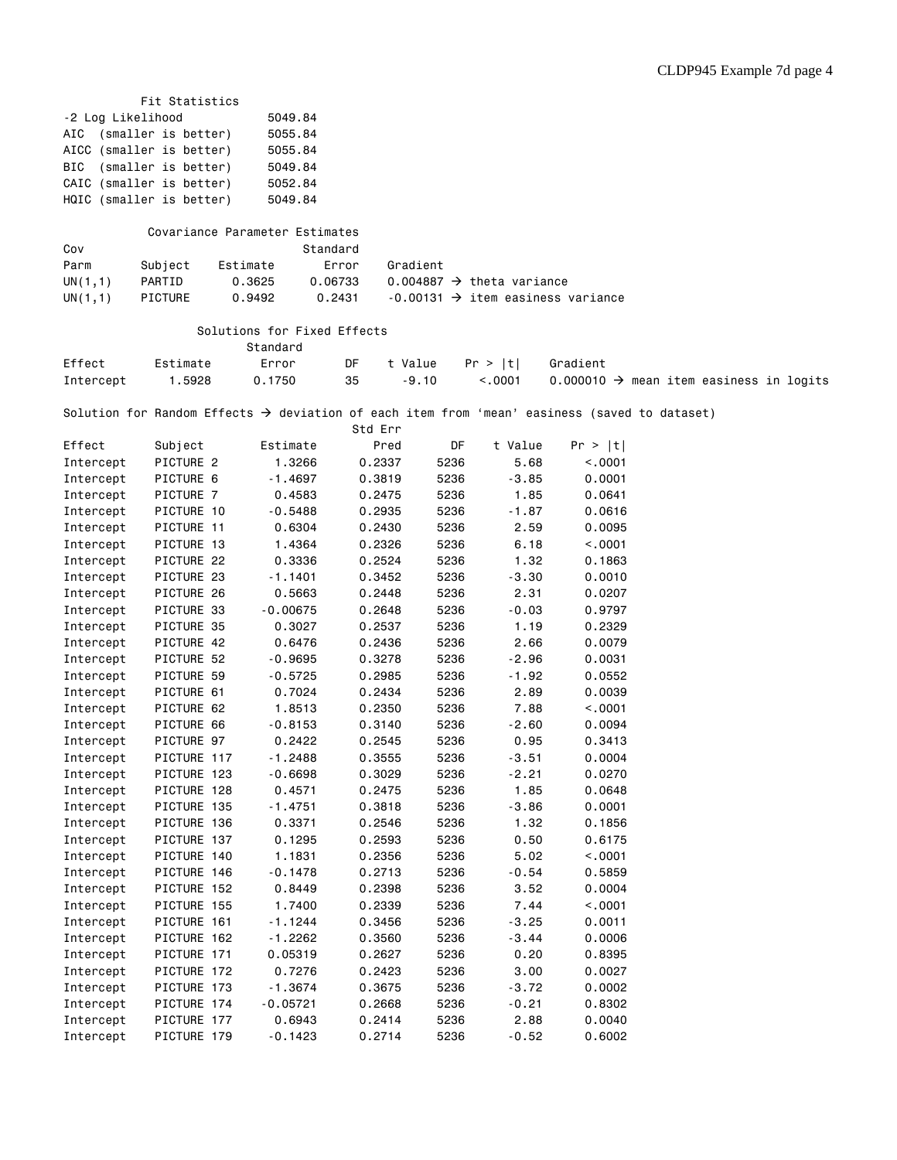|                   | Fit Statistics           |                                |                   |         |                                       |                                                                                                          |                                                     |
|-------------------|--------------------------|--------------------------------|-------------------|---------|---------------------------------------|----------------------------------------------------------------------------------------------------------|-----------------------------------------------------|
| -2 Log Likelihood |                          | 5049.84                        |                   |         |                                       |                                                                                                          |                                                     |
| AIC               | (smaller is better)      | 5055.84                        |                   |         |                                       |                                                                                                          |                                                     |
|                   | AICC (smaller is better) | 5055.84                        |                   |         |                                       |                                                                                                          |                                                     |
| BIC               | (smaller is better)      | 5049.84                        |                   |         |                                       |                                                                                                          |                                                     |
|                   | CAIC (smaller is better) | 5052.84                        |                   |         |                                       |                                                                                                          |                                                     |
|                   | HQIC (smaller is better) | 5049.84                        |                   |         |                                       |                                                                                                          |                                                     |
|                   |                          |                                |                   |         |                                       |                                                                                                          |                                                     |
|                   |                          | Covariance Parameter Estimates |                   |         |                                       |                                                                                                          |                                                     |
| Cov               |                          | Standard                       |                   |         |                                       |                                                                                                          |                                                     |
| Parm              | Subject                  | Estimate                       | Gradient<br>Error |         |                                       |                                                                                                          |                                                     |
| UN(1,1)           | PARTID                   | 0.3625                         | 0.06733           |         | 0.004887 $\rightarrow$ theta variance |                                                                                                          |                                                     |
| UN $(1,1)$        | <b>PICTURE</b>           | 0.9492                         | 0.2431            |         |                                       | $-0.00131 \rightarrow$ item easiness variance                                                            |                                                     |
|                   |                          |                                |                   |         |                                       |                                                                                                          |                                                     |
|                   |                          | Solutions for Fixed Effects    |                   |         |                                       |                                                                                                          |                                                     |
|                   |                          | Standard                       |                   |         |                                       |                                                                                                          |                                                     |
| Effect            | Estimate                 | Error                          | DF<br>t Value     |         | Pr >  t                               | Gradient                                                                                                 |                                                     |
| Intercept         | 1.5928                   | 0.1750                         | 35                | $-9.10$ | < .0001                               |                                                                                                          | 0.000010 $\rightarrow$ mean item easiness in logits |
|                   |                          |                                |                   |         |                                       |                                                                                                          |                                                     |
|                   |                          |                                |                   |         |                                       | Solution for Random Effects $\rightarrow$ deviation of each item from 'mean' easiness (saved to dataset) |                                                     |
|                   |                          |                                | Std Err           |         |                                       |                                                                                                          |                                                     |
|                   |                          |                                |                   |         | t Value                               | Pr >  t                                                                                                  |                                                     |
| Effect            | Subject<br>PICTURE 2     | Estimate                       | Pred              | DF      |                                       |                                                                                                          |                                                     |
| Intercept         |                          | 1.3266                         | 0.2337            | 5236    | 5.68                                  | < .0001                                                                                                  |                                                     |
| Intercept         | PICTURE 6                | -1.4697                        | 0.3819            | 5236    | $-3.85$                               | 0.0001                                                                                                   |                                                     |
| Intercept         | PICTURE 7                | 0.4583                         | 0.2475            | 5236    | 1.85                                  | 0.0641                                                                                                   |                                                     |
| Intercept         | PICTURE 10               | $-0.5488$                      | 0.2935            | 5236    | $-1.87$                               | 0.0616                                                                                                   |                                                     |
| Intercept         | PICTURE 11               | 0.6304                         | 0.2430            | 5236    | 2.59                                  | 0.0095                                                                                                   |                                                     |
| Intercept         | PICTURE 13               | 1.4364                         | 0.2326            | 5236    | 6.18                                  | < .0001                                                                                                  |                                                     |
| Intercept         | PICTURE 22               | 0.3336                         | 0.2524            | 5236    | 1.32                                  | 0.1863                                                                                                   |                                                     |
| Intercept         | PICTURE 23               | $-1.1401$                      | 0.3452            | 5236    | $-3.30$                               | 0.0010                                                                                                   |                                                     |
| Intercept         | PICTURE 26               | 0.5663                         | 0.2448            | 5236    | 2.31                                  | 0.0207                                                                                                   |                                                     |
| Intercept         | PICTURE 33               | $-0.00675$                     | 0.2648            | 5236    | $-0.03$                               | 0.9797                                                                                                   |                                                     |
| Intercept         | PICTURE 35               | 0.3027                         | 0.2537            | 5236    | 1.19                                  | 0.2329                                                                                                   |                                                     |
| Intercept         | PICTURE 42               | 0.6476                         | 0.2436            | 5236    | 2.66                                  | 0.0079                                                                                                   |                                                     |
| Intercept         | PICTURE 52               | $-0.9695$                      | 0.3278            | 5236    | $-2.96$                               | 0.0031                                                                                                   |                                                     |
| Intercept         | PICTURE 59               | $-0.5725$                      | 0.2985            | 5236    | $-1.92$                               | 0.0552                                                                                                   |                                                     |
| Intercept         | PICTURE 61               | 0.7024                         | 0.2434            | 5236    | 2.89                                  | 0.0039                                                                                                   |                                                     |
| Intercept         | PICTURE 62               | 1.8513                         | 0.2350            | 5236    | 7.88                                  | < .0001                                                                                                  |                                                     |
| Intercept         | PICTURE 66               | $-0.8153$                      | 0.3140            | 5236    | $-2.60$                               | 0.0094                                                                                                   |                                                     |
| Intercept         | PICTURE 97               | 0.2422                         | 0.2545            | 5236    | 0.95                                  | 0.3413                                                                                                   |                                                     |
| Intercept         | PICTURE 117              | $-1.2488$                      | 0.3555            | 5236    | $-3.51$                               | 0.0004                                                                                                   |                                                     |
| Intercept         | PICTURE 123              | $-0.6698$                      | 0.3029            | 5236    | $-2.21$                               | 0.0270                                                                                                   |                                                     |
| Intercept         | PICTURE 128              | 0.4571                         | 0.2475            | 5236    | 1.85                                  | 0.0648                                                                                                   |                                                     |
| Intercept         | PICTURE 135              | -1.4751                        | 0.3818            | 5236    | $-3.86$                               | 0.0001                                                                                                   |                                                     |
| Intercept         | PICTURE 136              | 0.3371                         | 0.2546            | 5236    | 1.32                                  | 0.1856                                                                                                   |                                                     |
| Intercept         | PICTURE 137              | 0.1295                         | 0.2593            | 5236    | 0.50                                  | 0.6175                                                                                                   |                                                     |
| Intercept         | PICTURE 140              | 1.1831                         | 0.2356            | 5236    | 5.02                                  | < .0001                                                                                                  |                                                     |
| Intercept         | PICTURE 146              | $-0.1478$                      | 0.2713            | 5236    | $-0.54$                               | 0.5859                                                                                                   |                                                     |
| Intercept         | PICTURE 152              | 0.8449                         | 0.2398            | 5236    | 3.52                                  | 0.0004                                                                                                   |                                                     |
| Intercept         | PICTURE 155              | 1.7400                         | 0.2339            | 5236    | 7.44                                  | < .0001                                                                                                  |                                                     |
| Intercept         | PICTURE 161              | $-1.1244$                      | 0.3456            | 5236    | $-3.25$                               | 0.0011                                                                                                   |                                                     |
| Intercept         | PICTURE 162              | $-1.2262$                      | 0.3560            | 5236    | $-3.44$                               | 0.0006                                                                                                   |                                                     |
| Intercept         | PICTURE 171              | 0.05319                        | 0.2627            | 5236    | 0.20                                  | 0.8395                                                                                                   |                                                     |
| Intercept         | PICTURE 172              | 0.7276                         | 0.2423            | 5236    | 3.00                                  | 0.0027                                                                                                   |                                                     |
| Intercept         | PICTURE 173              | -1.3674                        | 0.3675            | 5236    | -3.72                                 | 0.0002                                                                                                   |                                                     |
| Intercept         | PICTURE 174              | $-0.05721$                     | 0.2668            | 5236    | $-0.21$                               | 0.8302                                                                                                   |                                                     |
| Intercept         | PICTURE 177              | 0.6943                         | 0.2414            | 5236    | 2.88                                  | 0.0040                                                                                                   |                                                     |
| Intercept         | PICTURE 179              | $-0.1423$                      | 0.2714            | 5236    | $-0.52$                               | 0.6002                                                                                                   |                                                     |
|                   |                          |                                |                   |         |                                       |                                                                                                          |                                                     |